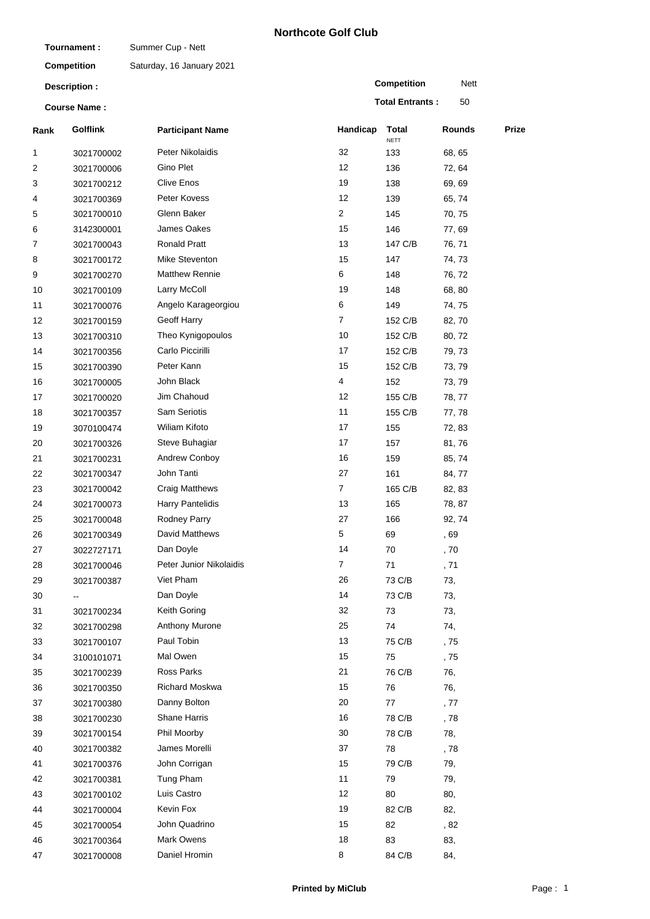## **Northcote Golf Club**

| Tournament:         |                          | Summer Cup - Nett         |                |                        |        |       |
|---------------------|--------------------------|---------------------------|----------------|------------------------|--------|-------|
|                     | <b>Competition</b>       | Saturday, 16 January 2021 |                |                        |        |       |
|                     | Description :            |                           |                | <b>Competition</b>     | Nett   |       |
| <b>Course Name:</b> |                          |                           |                | <b>Total Entrants:</b> | 50     |       |
| Rank                | <b>Golflink</b>          | <b>Participant Name</b>   | Handicap       | Total<br><b>NETT</b>   | Rounds | Prize |
| 1                   | 3021700002               | Peter Nikolaidis          | 32             | 133                    | 68, 65 |       |
| 2                   | 3021700006               | Gino Plet                 | 12             | 136                    | 72, 64 |       |
| 3                   | 3021700212               | <b>Clive Enos</b>         | 19             | 138                    | 69, 69 |       |
| 4                   | 3021700369               | Peter Kovess              | 12             | 139                    | 65, 74 |       |
| 5                   | 3021700010               | Glenn Baker               | $\overline{2}$ | 145                    | 70, 75 |       |
| 6                   | 3142300001               | James Oakes               | 15             | 146                    | 77,69  |       |
| 7                   | 3021700043               | <b>Ronald Pratt</b>       | 13             | 147 C/B                | 76, 71 |       |
| 8                   | 3021700172               | Mike Steventon            | 15             | 147                    | 74, 73 |       |
| 9                   | 3021700270               | <b>Matthew Rennie</b>     | 6              | 148                    | 76, 72 |       |
| 10                  | 3021700109               | Larry McColl              | 19             | 148                    | 68, 80 |       |
| 11                  | 3021700076               | Angelo Karageorgiou       | 6              | 149                    | 74, 75 |       |
| 12                  | 3021700159               | Geoff Harry               | 7              | 152 C/B                | 82, 70 |       |
| 13                  | 3021700310               | Theo Kynigopoulos         | 10             | 152 C/B                | 80, 72 |       |
| 14                  | 3021700356               | Carlo Piccirilli          | 17             | 152 C/B                | 79, 73 |       |
| 15                  | 3021700390               | Peter Kann                | 15             | 152 C/B                | 73, 79 |       |
| 16                  | 3021700005               | John Black                | 4              | 152                    | 73, 79 |       |
| 17                  | 3021700020               | Jim Chahoud               | 12             | 155 C/B                | 78, 77 |       |
| 18                  | 3021700357               | Sam Seriotis              | 11             | 155 C/B                | 77,78  |       |
| 19                  | 3070100474               | Wiliam Kifoto             | 17             | 155                    | 72, 83 |       |
| 20                  | 3021700326               | Steve Buhagiar            | 17             | 157                    | 81,76  |       |
| 21                  | 3021700231               | Andrew Conboy             | 16             | 159                    | 85, 74 |       |
| 22                  | 3021700347               | John Tanti                | 27             | 161                    | 84, 77 |       |
| 23                  | 3021700042               | <b>Craig Matthews</b>     | $\overline{7}$ | 165 C/B                | 82, 83 |       |
| 24                  | 3021700073               | <b>Harry Pantelidis</b>   | 13             | 165                    | 78, 87 |       |
| 25                  | 3021700048               | <b>Rodney Parry</b>       | 27             | 166                    | 92, 74 |       |
| 26                  | 3021700349               | David Matthews            | 5              | 69                     | , 69   |       |
| 27                  | 3022727171               | Dan Doyle                 | 14             | 70                     | , 70   |       |
| 28                  | 3021700046               | Peter Junior Nikolaidis   | $\overline{7}$ | 71                     | , 71   |       |
| 29                  | 3021700387               | Viet Pham                 | 26             | 73 C/B                 | 73,    |       |
| 30                  |                          | Dan Doyle                 | 14             | 73 C/B                 | 73,    |       |
| 31                  | 3021700234               | Keith Goring              | 32             | 73                     | 73,    |       |
| 32                  | 3021700298               | Anthony Murone            | 25             | 74                     | 74,    |       |
| 33                  | 3021700107               | Paul Tobin                | 13             | 75 C/B                 | , 75   |       |
| 34                  | 3100101071               | Mal Owen                  | 15             | 75                     | , 75   |       |
| 35                  | 3021700239               | Ross Parks                | 21             | 76 C/B                 | 76,    |       |
| 36                  | 3021700350               | Richard Moskwa            | 15             | 76                     | 76,    |       |
| 37                  | 3021700380               | Danny Bolton              | 20             | 77                     | , 77   |       |
| 38                  | 3021700230               | <b>Shane Harris</b>       | 16             | 78 C/B                 | , 78   |       |
| 39                  | 3021700154               | Phil Moorby               | 30             | 78 C/B                 | 78,    |       |
| 40                  | 3021700382               | James Morelli             | 37             | 78                     | , 78   |       |
| 41                  |                          | John Corrigan             | 15             | 79 C/B                 | 79,    |       |
| 42                  | 3021700376<br>3021700381 | Tung Pham                 | 11             | 79                     | 79,    |       |
| 43                  |                          | Luis Castro               | 12             | 80                     | 80,    |       |
|                     | 3021700102               | Kevin Fox                 | 19             |                        |        |       |
| 44                  | 3021700004               | John Quadrino             | 15             | 82 C/B                 | 82,    |       |
| 45                  | 3021700054               |                           |                | 82                     | , 82   |       |
| 46                  | 3021700364               | Mark Owens                | 18             | 83                     | 83,    |       |
| 47                  | 3021700008               | Daniel Hromin             | 8              | 84 C/B                 | 84,    |       |